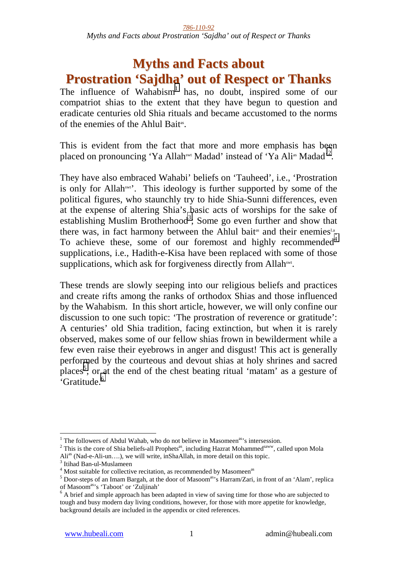# **Myths and Facts about Prostration 'Sajdha' out of Respect or Thanks**

The influence of Wahabism<sup>1</sup> has, no doubt, inspired some of our compatriot shias to the extent that they have begun to question and eradicate centuries old Shia rituals and became accustomed to the norms of the enemies of the Ahlul Baitas.

This is evident from the fact that more and more emphasis has been placed on pronouncing 'Ya Allah<sup>swt</sup> Madad' instead of 'Ya Ali<sup>as</sup> Madad'<sup>2</sup>.

They have also embraced Wahabi' beliefs on 'Tauheed', i.e., 'Prostration is only for Allahswt'. This ideology is further supported by some of the political figures, who staunchly try to hide Shia-Sunni differences, even at the expense of altering Shia's basic acts of worships for the sake of establishing Muslim Brotherhood<sup>3</sup>; Some go even further and show that there was, in fact harmony between the Ahlul bait<sup>as</sup> and their enemies<sup>1,a</sup>. To achieve these, some of our foremost and highly recommended<sup>4</sup> supplications, i.e., Hadith-e-Kisa have been replaced with some of those supplications, which ask for forgiveness directly from Allah<sup>swt</sup>.

These trends are slowly seeping into our religious beliefs and practices and create rifts among the ranks of orthodox Shias and those influenced by the Wahabism. In this short article, however, we will only confine our discussion to one such topic: 'The prostration of reverence or gratitude': A centuries' old Shia tradition, facing extinction, but when it is rarely observed, makes some of our fellow shias frown in bewilderment while a few even raise their eyebrows in anger and disgust! This act is generally performed by the courteous and devout shias at holy shrines and sacred places<sup>5</sup>, or at the end of the chest beating ritual 'matam' as a gesture of 'Gratitude.<sup>6</sup>

<sup>&</sup>lt;sup>1</sup> The followers of Abdul Wahab, who do not believe in Masomeen<sup>as,</sup>'s intersession.

 $2$  This is the core of Shia beliefs-all Prophets<sup>as</sup>, including Hazrat Mohammed<sup>saww</sup>, called upon Mola Ali<sup>as</sup> (Nad-e-Ali-un....), we will write, inShaAllah, in more detail on this topic.

 $3$  Itihad Ban-ul-Muslameen

<sup>&</sup>lt;sup>4</sup> Most suitable for collective recitation, as recommended by Masomeen<sup>as 5</sup> Decreptions of an Imam Bargab, at the decreption  $\frac{1}{2}$  Hargam<sup>33</sup>'s Hargam<sup>7</sup>Gri

<sup>&</sup>lt;sup>5</sup> Door-steps of an Imam Bargah, at the door of Masoom<sup>as</sup>'s Harram/Zari, in front of an 'Alam', replica of Masoom<sup>as</sup>'s 'Taboot' or 'Zuljinah'

 $<sup>6</sup>$  A brief and simple approach has been adapted in view of saving time for those who are subjected to</sup> tough and busy modern day living conditions, however, for those with more appetite for knowledge, background details are included in the appendix or cited references.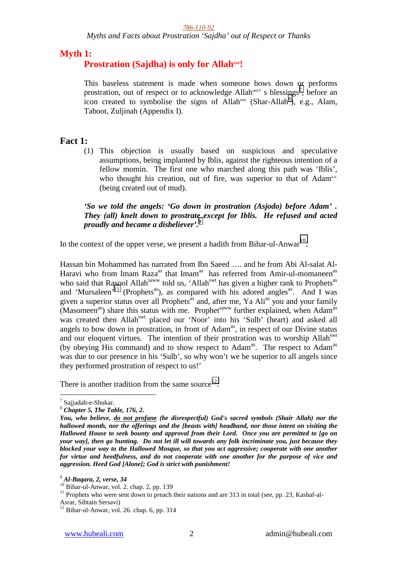*Myths and Facts about Prostration 'Sajdha' out of Respect or Thanks* 

### **Myth 1:**

### **Prostration (Sajdha) is only for Allahswt!**

This baseless statement is made when someone bows down or performs prostration, out of respect or to acknowledge Allah<sup>swt</sup>'s blessings<sup>7</sup>, before an icon created to symbolise the signs of Allah<sup>swt</sup> (Shar-Allah<sup>8</sup>), e.g., Alam, Taboot, Zuljinah (Appendix I).

### **Fact 1:**

(1) This objection is usually based on suspicious and speculative assumptions, being implanted by Iblis, against the righteous intention of a fellow momin. The first one who marched along this path was 'Iblis', who thought his creation, out of fire, was superior to that of Adam<sup>a.s.</sup> (being created out of mud).

#### *'So we told the angels: 'Go down in prostration (Asjodo) before Adam' . They (all) knelt down to prostrate except for Iblis. He refused and acted proudly and became a disbeliever'.9*

In the context of the upper verse, we present a hadith from Bihar-ul-Anwar<sup>10</sup>:

Hassan bin Mohammed has narrated from Ibn Saeed …. and he from Abi Al-salat Al-Haravi who from Imam Raza<sup>as</sup> that Imam<sup>as</sup> has referred from Amir-ul-momaneen<sup>as</sup> who said that Rasool Allah<sup>saww</sup> told us, 'Allah<sup>swt</sup> has given a higher rank to Prophets<sup>as</sup> and 'Mursaleen'<sup>11</sup> (Prophets<sup>as</sup>), as compared with his adored angles<sup>as</sup>. And I was given a superior status over all Prophets<sup>as</sup> and, after me, Ya Ali<sup>as</sup> you and your family  $(Masomeen<sup>as</sup>)$  share this status with me. Prophet<sup>saww</sup> further explained, when Adam<sup>as</sup> was created then Allah<sup>swt</sup> placed our 'Noor' into his 'Sulb' (heart) and asked all angels to bow down in prostration, in front of Adam<sup>as</sup>, in respect of our Divine status and our eloquent virtues. The intention of their prostration was to worship Allah<sup>swt</sup> (by obeying His command) and to show respect to Adam<sup>as</sup>. The respect to Adam<sup>as</sup> was due to our presence in his 'Sulb', so why won't we be superior to all angels since they performed prostration of respect to us!'

There is another tradition from the same source<sup>12</sup>:

<sup>&</sup>lt;sup>7</sup> Sajjadah-e-Shukar.

<sup>8</sup> *Chapter 5, The Table, 176, 2.* 

*You, who believe, do not profane (be disrespectful) God's sacred symbols (Shair Allah) nor the hallowed month, nor the offerings and the [beasts with] headband, nor those intent on visiting the Hallowed House to seek bounty and approval from their Lord. Once you are permitted to [go on your way], then go hunting. Do not let ill will towards any folk incriminate you, just because they blocked your way to the Hallowed Mosque, so that you act aggressive; cooperate with one another for virtue and heedfulness, and do not cooperate with one another for the purpose of vice and aggression. Heed God [Alone]; God is strict with punishment!*

<sup>9</sup> *Al-Baqara, 2, verse, 34*

<sup>10</sup> Bihar-ul-Anwar, vol. 2. chap. 2, pp. 139

<sup>&</sup>lt;sup>11</sup> Prophets who were sent down to preach their nations and are 313 in total (see, pp. 23, Kashaf-al-Asrar, Sibtain Sersavi)

 $12$  Bihar-ul-Anwar, vol. 26. chap. 6, pp. 314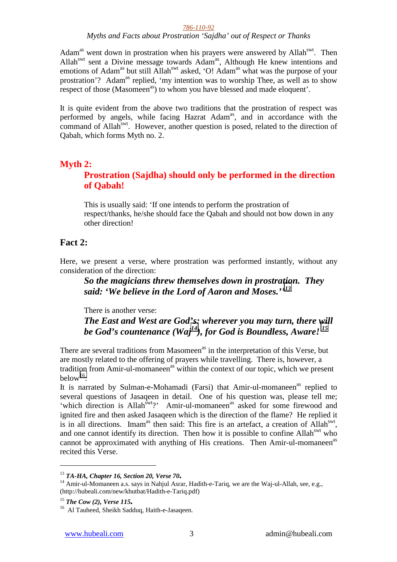*Myths and Facts about Prostration 'Sajdha' out of Respect or Thanks* 

Adam<sup>as</sup> went down in prostration when his prayers were answered by Allah<sup>swt</sup>. Then Allah<sup>swt</sup> sent a Divine message towards Adam<sup>as</sup>, Although He knew intentions and emotions of Adam<sup>as</sup> but still Allah<sup>swt</sup> asked, 'O! Adam<sup>as</sup> what was the purpose of your prostration'? Adam<sup>as</sup> replied, 'my intention was to worship Thee, as well as to show respect of those (Masomeen<sup>as</sup>) to whom you have blessed and made eloquent'.

It is quite evident from the above two traditions that the prostration of respect was performed by angels, while facing Hazrat Adam<sup>as</sup>, and in accordance with the command of Allah<sup>swt</sup>. However, another question is posed, related to the direction of Qabah, which forms Myth no. 2.

# **Myth 2:**

### **Prostration (Sajdha) should only be performed in the direction of Qabah!**

This is usually said: 'If one intends to perform the prostration of respect/thanks, he/she should face the Qabah and should not bow down in any other direction!

### **Fact 2:**

Here, we present a verse, where prostration was performed instantly, without any consideration of the direction:

*So the magicians threw themselves down in prostration. They said: 'We believe in the Lord of Aaron and Moses.''13* 

There is another verse: *The East and West are God's: wherever you may turn, there will be God's countenance (Waj14), for God is Boundless, Aware! 15*

There are several traditions from Masomeen<sup>as</sup> in the interpretation of this Verse, but are mostly related to the offering of prayers while travelling. There is, however, a tradition from Amir-ul-momaneen<sup>as</sup> within the context of our topic, which we present below<sup>16</sup>:

It is narrated by Sulman-e-Mohamadi (Farsi) that Amir-ul-momaneen<sup>as</sup> replied to several questions of Jasaqeen in detail. One of his question was, please tell me; 'which direction is Allah<sup>swt</sup>?' Amir-ul-momaneen<sup>as</sup> asked for some firewood and ignited fire and then asked Jasaqeen which is the direction of the flame? He replied it is in all directions. Imam<sup>as</sup> then said: This fire is an artefact, a creation of Allah<sup>swt</sup>, and one cannot identify its direction. Then how it is possible to confine Allah<sup>swt</sup> who cannot be approximated with anything of His creations. Then Amir-ul-momaneen<sup>as</sup> recited this Verse.

<sup>&</sup>lt;sup>13</sup> **TA-HA, Chapter 16, Section 20, Verse 70.**<br><sup>14</sup> Amir-ul-Momaneen a.s. says in Nahjul Asrar, Hadith-e-Tariq, we are the Waj-ul-Allah, see, e.g., (http://hubeali.com/new/khutbat/Hadith-e-Tariq.pdf)

<sup>&</sup>lt;sup>15</sup> **The Cow (2), Verse 115.** <sup>16</sup> Al Tauheed, Sheikh Sadduq, Haith-e-Jasaqeen.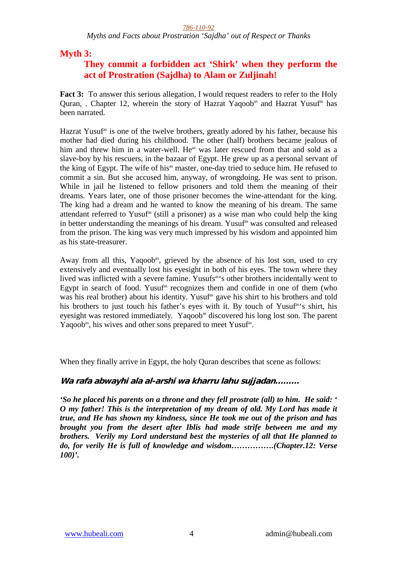*Myths and Facts about Prostration 'Sajdha' out of Respect or Thanks* 

**Myth 3:** 

# **They commit a forbidden act 'Shirk' when they perform the act of Prostration (Sajdha) to Alam or Zuljinah!**

**Fact 3:** To answer this serious allegation, I would request readers to refer to the Holy Quran, . Chapter 12, wherein the story of Hazrat Yaqoob<sup>as</sup> and Hazrat Yusuf<sup>as</sup> has been narrated.

Hazrat Yusuf<sup>as</sup> is one of the twelve brothers, greatly adored by his father, because his mother had died during his childhood. The other (half) brothers became jealous of him and threw him in a water-well. He<sup>as</sup> was later rescued from that and sold as a slave-boy by his rescuers, in the bazaar of Egypt. He grew up as a personal servant of the king of Egypt. The wife of his<sup>as</sup> master, one-day tried to seduce him. He refused to commit a sin. But she accused him, anyway, of wrongdoing. He was sent to prison. While in jail he listened to fellow prisoners and told them the meaning of their dreams. Years later, one of those prisoner becomes the wine-attendant for the king. The king had a dream and he wanted to know the meaning of his dream. The same attendant referred to Yusuf<sup>as</sup> (still a prisoner) as a wise man who could help the king in better understanding the meanings of his dream. Yusuf<sup>as</sup> was consulted and released from the prison. The king was very much impressed by his wisdom and appointed him as his state-treasurer.

Away from all this, Yaqoob<sup>as</sup>, grieved by the absence of his lost son, used to cry extensively and eventually lost his eyesight in both of his eyes. The town where they lived was inflicted with a severe famine. Yusufs<sup>as's</sup> other brothers incidentally went to Egypt in search of food. Yusuf<sup>as</sup> recognizes them and confide in one of them (who was his real brother) about his identity. Yusuf<sup>as</sup> gave his shirt to his brothers and told his brothers to just touch his father's eyes with it. By touch of Yusuf<sup>as'</sup>s shirt, his eyesight was restored immediately. Yaqoob<sup>as</sup> discovered his long lost son. The parent Yaqoob<sup>as</sup>, his wives and other sons prepared to meet Yusuf<sup>as</sup>.

When they finally arrive in Egypt, the holy Ouran describes that scene as follows:

**Wa rafa abwayhi ala al-arshi wa kharru lahu sujjadan………**

*'So he placed his parents on a throne and they fell prostrate (all) to him. He said: ' O my father! This is the interpretation of my dream of old. My Lord has made it true, and He has shown my kindness, since He took me out of the prison and has brought you from the desert after Iblis had made strife between me and my brothers. Verily my Lord understand best the mysteries of all that He planned to do, for verily He is full of knowledge and wisdom…………….(Chapter.12: Verse 100)'.*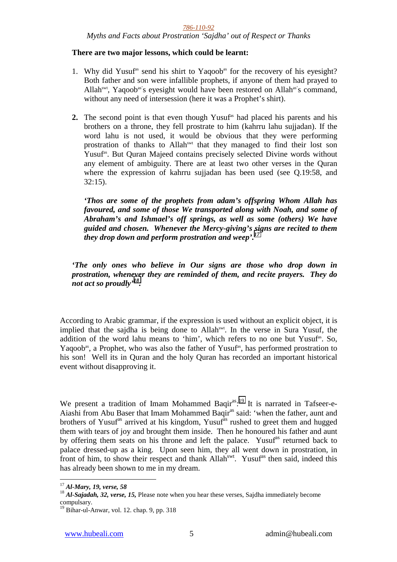*Myths and Facts about Prostration 'Sajdha' out of Respect or Thanks* 

#### **There are two major lessons, which could be learnt:**

- 1. Why did Yusuf<sup>as</sup> send his shirt to Yaqoob<sup>as</sup> for the recovery of his eyesight? Both father and son were infallible prophets, if anyone of them had prayed to Allah<sup>swt</sup>, Yaqoob<sup>as'</sup>s eyesight would have been restored on Allah<sup>as'</sup>s command, without any need of intersession (here it was a Prophet's shirt).
- **2.** The second point is that even though Yusuf<sup>as</sup> had placed his parents and his brothers on a throne, they fell prostrate to him (kahrru lahu sujjadan). If the word lahu is not used, it would be obvious that they were performing prostration of thanks to Allahswt that they managed to find their lost son Yusuf<sup>as</sup>. But Quran Majeed contains precisely selected Divine words without any element of ambiguity. There are at least two other verses in the Quran where the expression of kahrru sujjadan has been used (see Q.19:58, and 32:15).

*'Thos are some of the prophets from adam's offspring Whom Allah has favoured, and some of those We transported along with Noah, and some of Abraham's and Ishmael's off springs, as well as some (others) We have guided and chosen. Whenever the Mercy-giving's signs are recited to them they drop down and perform prostration and weep'.<sup>17</sup>*

*'The only ones who believe in Our signs are those who drop down in prostration, whenever they are reminded of them, and recite prayers. They do not act so proudly'18.*

According to Arabic grammar, if the expression is used without an explicit object, it is implied that the sajdha is being done to Allahswt. In the verse in Sura Yusuf, the addition of the word lahu means to 'him', which refers to no one but Yusuf<sup>as</sup>. So, Yaqoob<sup>as</sup>, a Prophet, who was also the father of Yusuf<sup>as</sup>, has performed prostration to his son! Well its in Quran and the holy Quran has recorded an important historical event without disapproving it.

We present a tradition of Imam Mohammed Baqi $r^{as}:$ <sup>19</sup> It is narrated in Tafseer-e-Aiashi from Abu Baser that Imam Mohammed Baqir<sup>as</sup> said: 'when the father, aunt and brothers of Yusuf<sup>as</sup> arrived at his kingdom, Yusuf<sup>as</sup> rushed to greet them and hugged them with tears of joy and brought them inside. Then he honoured his father and aunt by offering them seats on his throne and left the palace. Yusuf<sup>as</sup> returned back to palace dressed-up as a king. Upon seen him, they all went down in prostration, in front of him, to show their respect and thank Allah<sup>swt</sup>. Yusuf<sup>as</sup> then said, indeed this has already been shown to me in my dream.

 $17$  Al-Mary, 19, verse, 58

<sup>&</sup>lt;sup>18</sup> Al-Sajadah, 32, verse, 15, Please note when you hear these verses, Sajdha immediately become compulsary.

<sup>&</sup>lt;sup>19</sup> Bihar-ul-Anwar, vol. 12. chap. 9, pp. 318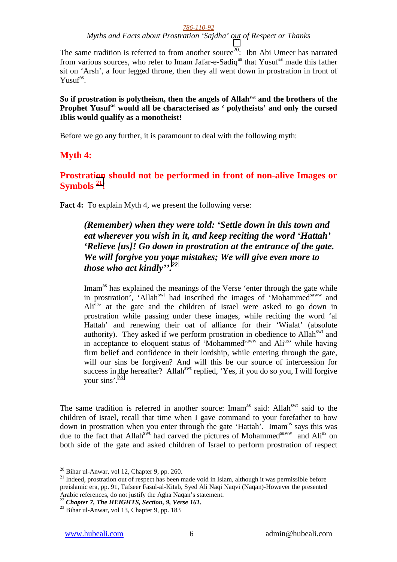*Myths and Facts about Prostration 'Sajdha' out of Respect or Thanks* 

The same tradition is referred to from another source<sup>20</sup>: Ibn Abi Umeer has narrated from various sources, who refer to Imam Jafar-e-Sadiq<sup>as</sup> that Yusuf<sup>as</sup> made this father sit on 'Arsh', a four legged throne, then they all went down in prostration in front of  $Y$ usuf<sup>as</sup>.

So if prostration is polytheism, then the angels of Allah<sup>swt</sup> and the brothers of the **Prophet Yusufas would all be characterised as ' polytheists' and only the cursed Iblis would qualify as a monotheist!** 

Before we go any further, it is paramount to deal with the following myth:

### **Myth 4:**

**Prostration should not be performed in front of non-alive Images or Symbols 21!** 

**Fact 4:** To explain Myth 4, we present the following verse:

### *(Remember) when they were told: 'Settle down in this town and eat wherever you wish in it, and keep reciting the word 'Hattah' 'Relieve [us]! Go down in prostration at the entrance of the gate. We will forgive you your mistakes; We will give even more to those who act kindly''.22*

Imam<sup>as</sup> has explained the meanings of the Verse 'enter through the gate while in prostration', 'Allah<sup>swt</sup> had inscribed the images of 'Mohammed<sup>saww</sup> and Ali<sup>as</sup> at the gate and the children of Israel were asked to go down in prostration while passing under these images, while reciting the word 'al Hattah' and renewing their oat of alliance for their 'Wialat' (absolute authority). They asked if we perform prostration in obedience to Allahswt and in acceptance to eloquent status of 'Mohammed $\frac{1}{2}$  and Ali<sup>as</sup>' while having firm belief and confidence in their lordship, while entering through the gate, will our sins be forgiven? And will this be our source of intercession for success in the hereafter? Allah<sup>swt</sup> replied, 'Yes, if you do so you, I will forgive your sins'.23

The same tradition is referred in another source: Imam<sup>as</sup> said: Allah<sup>swt</sup> said to the children of Israel, recall that time when I gave command to your forefather to bow down in prostration when you enter through the gate 'Hattah'. Imam<sup>as</sup> says this was due to the fact that Allah<sup>swt</sup> had carved the pictures of Mohammed<sup>saww</sup> and Ali<sup>as</sup> on both side of the gate and asked children of Israel to perform prostration of respect

22 *Chapter 7, The HEIGHTS, Section, 9, Verse 161.*<br><sup>23</sup> Bihar ul-Anwar, vol 13, Chapter 9, pp. 183

 $20$  Bihar ul-Anwar, vol 12, Chapter 9, pp. 260.

<sup>&</sup>lt;sup>21</sup> Indeed, prostration out of respect has been made void in Islam, although it was permissible before preislamic era, pp. 91, Tafseer Fasul-al-Kitab, Syed Ali Naqi Naqvi (Naqan)-However the presented Arabic references, do not justify the Agha Naqan's statement.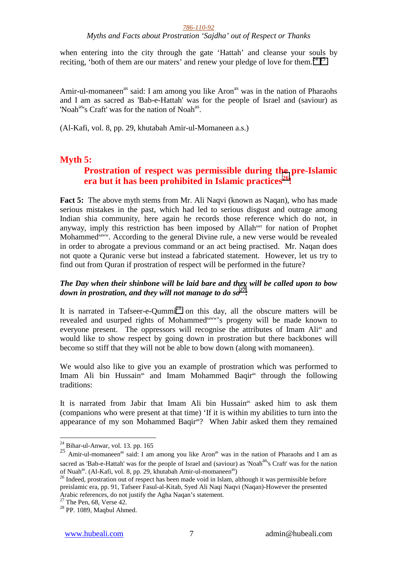*Myths and Facts about Prostration 'Sajdha' out of Respect or Thanks* 

when entering into the city through the gate 'Hattah' and cleanse your souls by reciting, 'both of them are our maters' and renew your pledge of love for them.<sup>24 25</sup>

Amir-ul-momaneen<sup>as</sup> said: I am among you like Aron<sup>as</sup> was in the nation of Pharaohs and I am as sacred as 'Bab-e-Hattah' was for the people of Israel and (saviour) as 'Noah<sup>as</sup>'s Craft' was for the nation of Noah<sup>as</sup>.

(Al-Kafi, vol. 8, pp. 29, khutabah Amir-ul-Momaneen a.s.)

### **Myth 5:**

### **Prostration of respect was permissible during the pre-Islamic era but it has been prohibited in Islamic practices26!**

**Fact 5:** The above myth stems from Mr. Ali Naqvi (known as Naqan), who has made serious mistakes in the past, which had led to serious disgust and outrage among Indian shia community, here again he records those reference which do not, in anyway, imply this restriction has been imposed by Allahswt for nation of Prophet Mohammed<sup>saww</sup>. According to the general Divine rule, a new verse would be revealed in order to abrogate a previous command or an act being practised. Mr. Naqan does not quote a Quranic verse but instead a fabricated statement. However, let us try to find out from Quran if prostration of respect will be performed in the future?

### *The Day when their shinbone will be laid bare and they will be called upon to bow down in prostration, and they will not manage to do so<sup>27</sup> :*

It is narrated in Tafseer-e-Qummi<sup>28</sup> on this day, all the obscure matters will be revealed and usurped rights of Mohammed<sup>saww</sup>'s progeny will be made known to everyone present. The oppressors will recognise the attributes of Imam Ali<sup>as</sup> and would like to show respect by going down in prostration but there backbones will become so stiff that they will not be able to bow down (along with momaneen).

We would also like to give you an example of prostration which was performed to Imam Ali bin Hussain<sup>as</sup> and Imam Mohammed Baqir<sup>as</sup> through the following traditions:

It is narrated from Jabir that Imam Ali bin Hussain<sup>as</sup> asked him to ask them (companions who were present at that time) 'If it is within my abilities to turn into the appearance of my son Mohammed Baqiras? When Jabir asked them they remained

 $24$  Bihar-ul-Anwar, vol. 13. pp. 165

 $25$  Amir-ul-momaneen<sup>as</sup> said: I am among you like Aron<sup>as</sup> was in the nation of Pharaohs and I am as sacred as 'Bab-e-Hattah' was for the people of Israel and (saviour) as 'Noah<sup>as'</sup>s Craft' was for the nation of Nuah<sup>as</sup>. (Al-Kafi, vol. 8, pp. 29, khutabah Amir-ul-momaneen<sup>as</sup>)<br><sup>26</sup> Indeed, prostration out of respect has been made void in Islam, although it was permissible before

preislamic era, pp. 91, Tafseer Fasul-al-Kitab, Syed Ali Naqi Naqvi (Naqan)-However the presented Arabic references, do not justify the Agha Naqan's statement.

 $27$  The Pen, 68, Verse 42.

<sup>28</sup> PP. 1089, Maqbul Ahmed.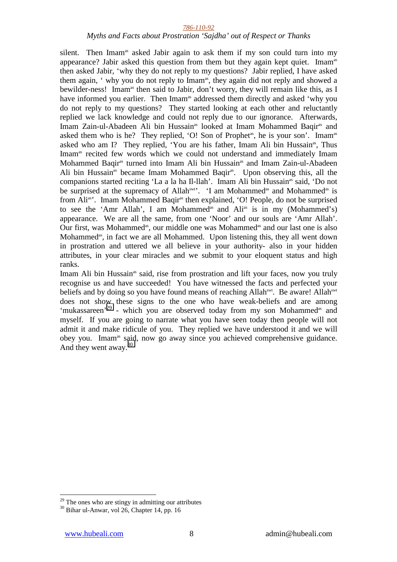#### *Myths and Facts about Prostration 'Sajdha' out of Respect or Thanks*

silent. Then Imam<sup>as</sup> asked Jabir again to ask them if my son could turn into my appearance? Jabir asked this question from them but they again kept quiet. Imamas then asked Jabir, 'why they do not reply to my questions? Jabir replied, I have asked them again, ' why you do not reply to Imam<sup>as</sup>, they again did not reply and showed a bewilder-ness! Imam<sup>as</sup> then said to Jabir, don't worry, they will remain like this, as I have informed you earlier. Then Imam<sup>as</sup> addressed them directly and asked 'why you do not reply to my questions? They started looking at each other and reluctantly replied we lack knowledge and could not reply due to our ignorance. Afterwards, Imam Zain-ul-Abadeen Ali bin Hussain<sup>as</sup> looked at Imam Mohammed Baqir<sup>as</sup> and asked them who is he? They replied, 'O! Son of Prophet<sup>as</sup>, he is your son'. Imam<sup>as</sup> asked who am I? They replied, 'You are his father, Imam Ali bin Hussain<sup>as</sup>, Thus Imam<sup>as</sup> recited few words which we could not understand and immediately Imam Mohammed Baqir<sup>as</sup> turned into Imam Ali bin Hussain<sup>as</sup> and Imam Zain-ul-Abadeen Ali bin Hussain<sup>as</sup> became Imam Mohammed Baqir<sup>as</sup>. Upon observing this, all the companions started reciting 'La a la ha Il-llah'. Imam Ali bin Hussain<sup>as</sup> said, 'Do not be surprised at the supremacy of Allah<sup>swt</sup>'. 'I am Mohammed<sup>as</sup> and Mohammed<sup>as</sup> is from Ali<sup>as</sup>'. Imam Mohammed Baqir<sup>as</sup> then explained, 'O! People, do not be surprised to see the 'Amr Allah', I am Mohammed<sup>as</sup> and Ali<sup>as</sup> is in my (Mohammed's) appearance. We are all the same, from one 'Noor' and our souls are 'Amr Allah'. Our first, was Mohammed<sup>as</sup>, our middle one was Mohammed<sup>as</sup> and our last one is also Mohammed<sup>as</sup>, in fact we are all Mohammed. Upon listening this, they all went down in prostration and uttered we all believe in your authority- also in your hidden attributes, in your clear miracles and we submit to your eloquent status and high ranks.

Imam Ali bin Hussain<sup>as</sup> said, rise from prostration and lift your faces, now you truly recognise us and have succeeded! You have witnessed the facts and perfected your beliefs and by doing so you have found means of reaching Allah<sup>swt</sup>. Be aware! Allah<sup>swt</sup> does not show these signs to the one who have weak-beliefs and are among 'mukassareen'<sup>29</sup> - which you are observed today from my son Mohammed<sup>as</sup> and myself. If you are going to narrate what you have seen today then people will not admit it and make ridicule of you. They replied we have understood it and we will obey you. Imamas said, now go away since you achieved comprehensive guidance. And they went away. $30$ 

 $29$  The ones who are stingy in admitting our attributes

<sup>30</sup> Bihar ul-Anwar, vol 26, Chapter 14, pp. 16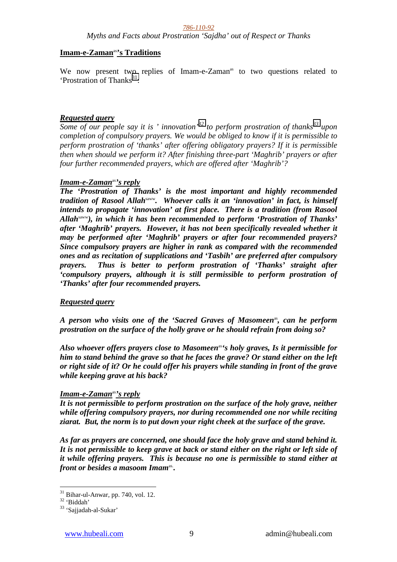*Myths and Facts about Prostration 'Sajdha' out of Respect or Thanks* 

### **Imam-e-Zaman**as**'s Traditions**

We now present two replies of Imam-e-Zaman<sup>as</sup> to two questions related to 'Prostration of Thanks $^{31}$ :

### *Requested query*

*Some of our people say it is ' innovation*<sup>32</sup> to perform prostration of thanks<sup>33</sup> upon *completion of compulsory prayers. We would be obliged to know if it is permissible to perform prostration of 'thanks' after offering obligatory prayers? If it is permissible then when should we perform it? After finishing three-part 'Maghrib' prayers or after four further recommended prayers, which are offered after 'Maghrib'?* 

### *Imam-e-Zaman*as*'s reply*

*The 'Prostration of Thanks' is the most important and highly recommended tradition of Rasool Allah*saww*. Whoever calls it an 'innovation' in fact, is himself intends to propagate 'innovation' at first place. There is a tradition (from Rasool Allah*saww*), in which it has been recommended to perform 'Prostration of Thanks' after 'Maghrib' prayers. However, it has not been specifically revealed whether it may be performed after 'Maghrib' prayers or after four recommended prayers? Since compulsory prayers are higher in rank as compared with the recommended ones and as recitation of supplications and 'Tasbih' are preferred after compulsory prayers. Thus is better to perform prostration of 'Thanks' straight after 'compulsory prayers, although it is still permissible to perform prostration of 'Thanks' after four recommended prayers.* 

### *Requested query*

*A person who visits one of the 'Sacred Graves of Masomeen*<sup>as</sup>, can he perform *prostration on the surface of the holly grave or he should refrain from doing so?* 

*Also whoever offers prayers close to Masomeen*as*'s holy graves, Is it permissible for him to stand behind the grave so that he faces the grave? Or stand either on the left or right side of it? Or he could offer his prayers while standing in front of the grave while keeping grave at his back?* 

### *Imam-e-Zaman*as*'s reply*

*It is not permissible to perform prostration on the surface of the holy grave, neither while offering compulsory prayers, nor during recommended one nor while reciting ziarat. But, the norm is to put down your right cheek at the surface of the grave.* 

*As far as prayers are concerned, one should face the holy grave and stand behind it. It is not permissible to keep grave at back or stand either on the right or left side of it while offering prayers. This is because no one is permissible to stand either at front or besides a masoom Imam*<sup>as</sup>.

 $31$  Bihar-ul-Anwar, pp. 740, vol. 12.

<sup>32 &#</sup>x27;Biddah'

<sup>33 &#</sup>x27;Sajjadah-al-Sukar'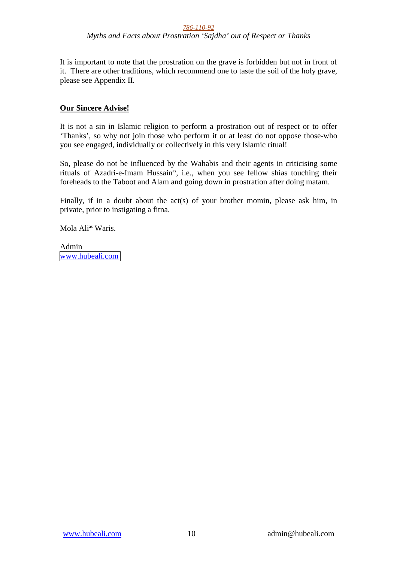*Myths and Facts about Prostration 'Sajdha' out of Respect or Thanks* 

It is important to note that the prostration on the grave is forbidden but not in front of it. There are other traditions, which recommend one to taste the soil of the holy grave, please see Appendix II.

### **Our Sincere Advise!**

It is not a sin in Islamic religion to perform a prostration out of respect or to offer 'Thanks', so why not join those who perform it or at least do not oppose those-who you see engaged, individually or collectively in this very Islamic ritual!

So, please do not be influenced by the Wahabis and their agents in criticising some rituals of Azadri-e-Imam Hussain<sup>as</sup>, i.e., when you see fellow shias touching their foreheads to the Taboot and Alam and going down in prostration after doing matam.

Finally, if in a doubt about the act(s) of your brother momin, please ask him, in private, prior to instigating a fitna.

Mola Ali<sup>as</sup> Waris.

Admin [www.hubeali.com](http://www.hubeali.com/)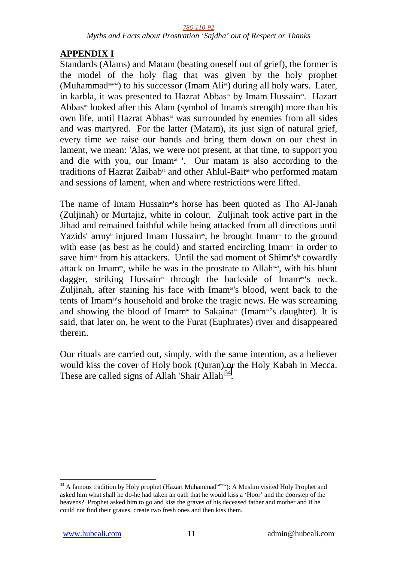*Myths and Facts about Prostration 'Sajdha' out of Respect or Thanks* 

# **APPENDIX I**

Standards (Alams) and Matam (beating oneself out of grief), the former is the model of the holy flag that was given by the holy prophet (Muhammad<sup>saww</sup>) to his successor (Imam Ali<sup>as</sup>) during all holy wars. Later, in karbla, it was presented to Hazrat Abbas<sup>as</sup> by Imam Hussain<sup>as</sup>. Hazart Abbas<sup>as</sup> looked after this Alam (symbol of Imam's strength) more than his own life, until Hazrat Abbas<sup>as</sup> was surrounded by enemies from all sides and was martyred. For the latter (Matam), its just sign of natural grief, every time we raise our hands and bring them down on our chest in lament, we mean: 'Alas, we were not present, at that time, to support you and die with you, our Imam<sup>as</sup> '. Our matam is also according to the traditions of Hazrat Zaibab<sup>sa</sup> and other Ahlul-Bait<sup>as</sup> who performed matam and sessions of lament, when and where restrictions were lifted.

The name of Imam Hussain<sup>as'</sup>s horse has been quoted as Tho Al-Janah (Zuljinah) or Murtajiz, white in colour. Zuljinah took active part in the Jihad and remained faithful while being attacked from all directions until Yazids' army<sup>la</sup> injured Imam Hussain<sup>as</sup>, he brought Imam<sup>as</sup> to the ground with ease (as best as he could) and started encircling Imam<sup>as</sup> in order to save him<sup>as</sup> from his attackers. Until the sad moment of Shimr's<sup>la</sup> cowardly attack on Imam<sup>as</sup>, while he was in the prostrate to Allah<sup>swt</sup>, with his blunt dagger, striking Hussain<sup>38</sup> through the backside of Imam<sup>36</sup>'s neck. Zuliinah, after staining his face with Imam<sup>as'</sup>s blood, went back to the tents of Imamas's household and broke the tragic news. He was screaming and showing the blood of Imam<sup>as</sup> to Sakaina<sup>sa</sup> (Imam<sup>as'</sup>s daughter). It is said, that later on, he went to the Furat (Euphrates) river and disappeared therein.

Our rituals are carried out, simply, with the same intention, as a believer would kiss the cover of Holy book (Quran) or the Holy Kabah in Mecca. These are called signs of Allah 'Shair Allah<sup>34</sup>.

 $34$  A famous tradition by Holy prophet (Hazart Muhammad $s_{\text{a}}$ ): A Muslim visited Holy Prophet and asked him what shall he do-he had taken an oath that he would kiss a 'Hoor' and the doorstep of the heavens? Prophet asked him to go and kiss the graves of his deceased father and mother and if he could not find their graves, create two fresh ones and then kiss them.